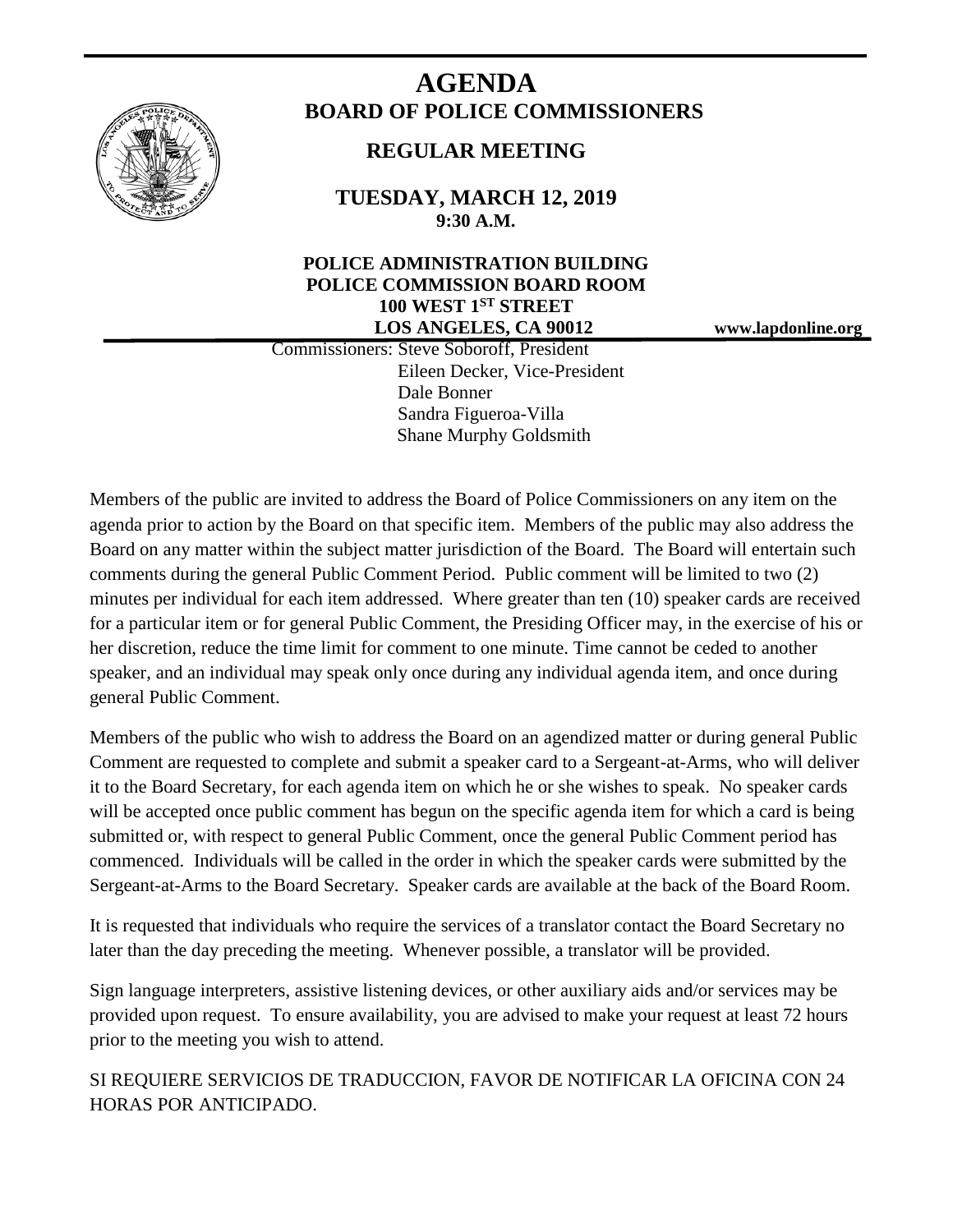

# **AGENDA BOARD OF POLICE COMMISSIONERS**

## **REGULAR MEETING**

**TUESDAY, MARCH 12, 2019 9:30 A.M.**

### **POLICE ADMINISTRATION BUILDING POLICE COMMISSION BOARD ROOM 100 WEST 1ST STREET LOS ANGELES, CA 90012 www.lapdonline.org**

 Commissioners: Steve Soboroff, President Eileen Decker, Vice-President Dale Bonner Sandra Figueroa-Villa Shane Murphy Goldsmith

Members of the public are invited to address the Board of Police Commissioners on any item on the agenda prior to action by the Board on that specific item. Members of the public may also address the Board on any matter within the subject matter jurisdiction of the Board. The Board will entertain such comments during the general Public Comment Period. Public comment will be limited to two (2) minutes per individual for each item addressed. Where greater than ten (10) speaker cards are received for a particular item or for general Public Comment, the Presiding Officer may, in the exercise of his or her discretion, reduce the time limit for comment to one minute. Time cannot be ceded to another speaker, and an individual may speak only once during any individual agenda item, and once during general Public Comment.

Members of the public who wish to address the Board on an agendized matter or during general Public Comment are requested to complete and submit a speaker card to a Sergeant-at-Arms, who will deliver it to the Board Secretary, for each agenda item on which he or she wishes to speak. No speaker cards will be accepted once public comment has begun on the specific agenda item for which a card is being submitted or, with respect to general Public Comment, once the general Public Comment period has commenced. Individuals will be called in the order in which the speaker cards were submitted by the Sergeant-at-Arms to the Board Secretary. Speaker cards are available at the back of the Board Room.

It is requested that individuals who require the services of a translator contact the Board Secretary no later than the day preceding the meeting. Whenever possible, a translator will be provided.

Sign language interpreters, assistive listening devices, or other auxiliary aids and/or services may be provided upon request. To ensure availability, you are advised to make your request at least 72 hours prior to the meeting you wish to attend.

SI REQUIERE SERVICIOS DE TRADUCCION, FAVOR DE NOTIFICAR LA OFICINA CON 24 HORAS POR ANTICIPADO.